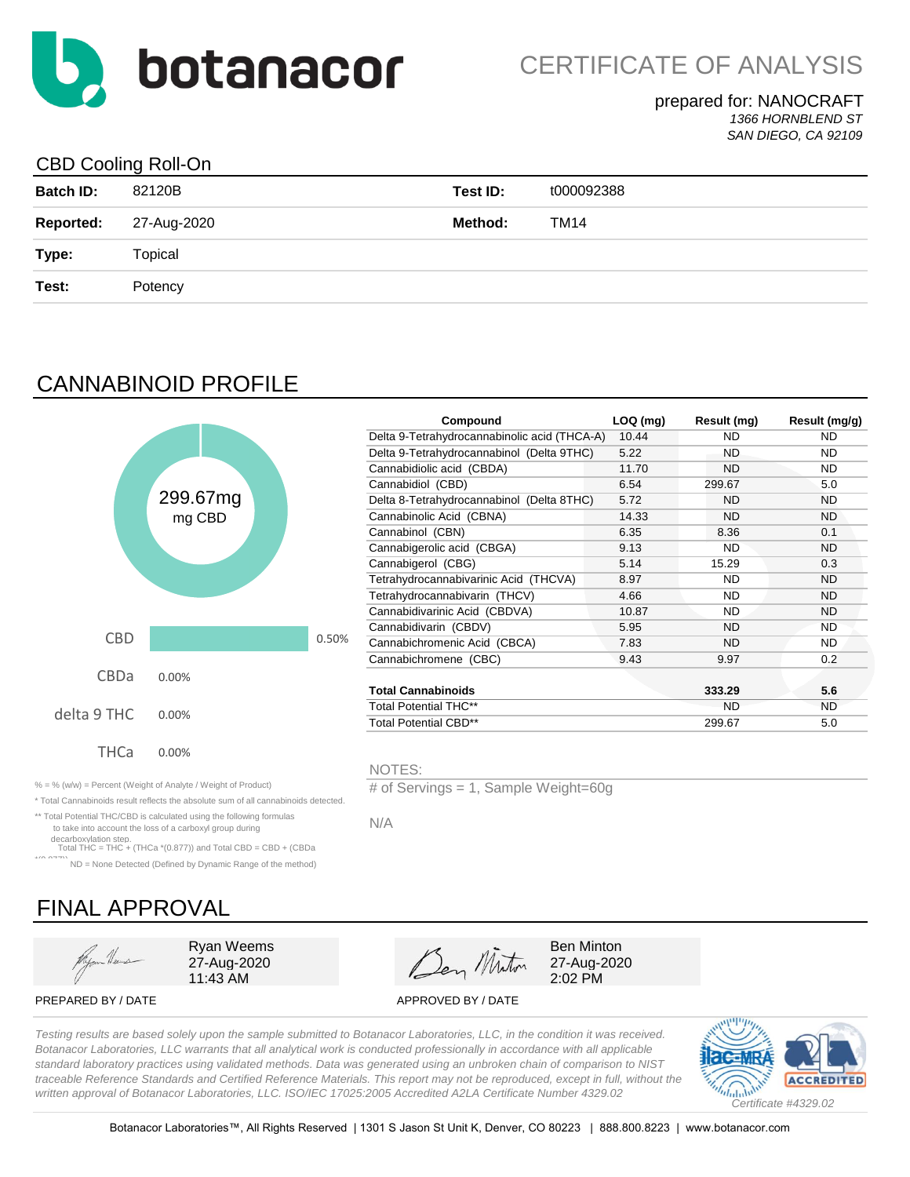

CERTIFICATE OF ANALYSIS

#### prepared for: NANOCRAFT *1366 HORNBLEND ST SAN DIEGO, CA 92109*

### CBD Cooling Roll-On

|                  | $\tilde{\phantom{a}}$ |          |            |
|------------------|-----------------------|----------|------------|
| <b>Batch ID:</b> | 82120B                | Test ID: | t000092388 |
| <b>Reported:</b> | 27-Aug-2020           | Method:  | TM14       |
| Type:            | Topical               |          |            |
| Test:            | Potency               |          |            |
|                  |                       |          |            |

# CANNABINOID PROFILE

|             |          |       | Compound                                     | $LOQ$ (mg) | Result (mg) | Result (mg/g) |
|-------------|----------|-------|----------------------------------------------|------------|-------------|---------------|
|             |          |       | Delta 9-Tetrahydrocannabinolic acid (THCA-A) | 10.44      | <b>ND</b>   | ND.           |
|             |          |       | Delta 9-Tetrahydrocannabinol (Delta 9THC)    | 5.22       | ND.         | ND.           |
|             |          |       | Cannabidiolic acid (CBDA)                    | 11.70      | <b>ND</b>   | ND.           |
|             |          |       | Cannabidiol (CBD)                            | 6.54       | 299.67      | 5.0           |
|             | 299.67mg |       | Delta 8-Tetrahydrocannabinol (Delta 8THC)    | 5.72       | <b>ND</b>   | ND.           |
|             | mg CBD   |       | Cannabinolic Acid (CBNA)                     | 14.33      | ND.         | ND.           |
|             |          |       | Cannabinol (CBN)                             | 6.35       | 8.36        | 0.1           |
|             |          |       | Cannabigerolic acid (CBGA)                   | 9.13       | <b>ND</b>   | ND.           |
|             |          |       | Cannabigerol (CBG)                           | 5.14       | 15.29       | 0.3           |
|             |          |       | Tetrahydrocannabivarinic Acid (THCVA)        | 8.97       | ND.         | ND.           |
|             |          |       | Tetrahydrocannabivarin (THCV)                | 4.66       | ND.         | ND.           |
|             |          |       | Cannabidivarinic Acid (CBDVA)                | 10.87      | <b>ND</b>   | <b>ND</b>     |
|             |          |       | Cannabidivarin (CBDV)                        | 5.95       | ND.         | <b>ND</b>     |
| <b>CBD</b>  |          | 0.50% | Cannabichromenic Acid (CBCA)                 | 7.83       | ND.         | ND.           |
|             |          |       | Cannabichromene (CBC)                        | 9.43       | 9.97        | 0.2           |
| <b>CBDa</b> | 0.00%    |       |                                              |            |             |               |
|             |          |       | <b>Total Cannabinoids</b>                    |            | 333.29      | 5.6           |
| delta 9 THC | 0.00%    |       | <b>Total Potential THC**</b>                 |            | <b>ND</b>   | ND.           |
|             |          |       | <b>Total Potential CBD**</b>                 |            | 299.67      | 5.0           |
| <b>THCa</b> | 0.00%    |       | NOTES:                                       |            |             |               |
|             |          |       |                                              |            |             |               |

% = % (w/w) = Percent (Weight of Analyte / Weight of Product) # of Servings = 1, Sample Weight=60g

\* Total Cannabinoids result reflects the absolute sum of all cannabinoids detected.

\*\* Total Potential THC/CBD is calculated using the following formulas to take into account the loss of a carboxyl group during

decarboxylation step. Total THC = THC + (THCa \*(0.877)) and Total CBD = CBD + (CBDa

\*(0.877)) ND = None Detected (Defined by Dynamic Range of the method)

# FINAL APPROVAL

Ryan Weems 27-Aug-2020 11:43 AM

Den Minton

Ben Minton 27-Aug-2020 2:02 PM

PREPARED BY / DATE APPROVED BY / DATE

*Testing results are based solely upon the sample submitted to Botanacor Laboratories, LLC, in the condition it was received. Botanacor Laboratories, LLC warrants that all analytical work is conducted professionally in accordance with all applicable standard laboratory practices using validated methods. Data was generated using an unbroken chain of comparison to NIST traceable Reference Standards and Certified Reference Materials. This report may not be reproduced, except in full, without the written approval of Botanacor Laboratories, LLC. ISO/IEC 17025:2005 Accredited A2LA Certificate Number 4329.02*

N/A

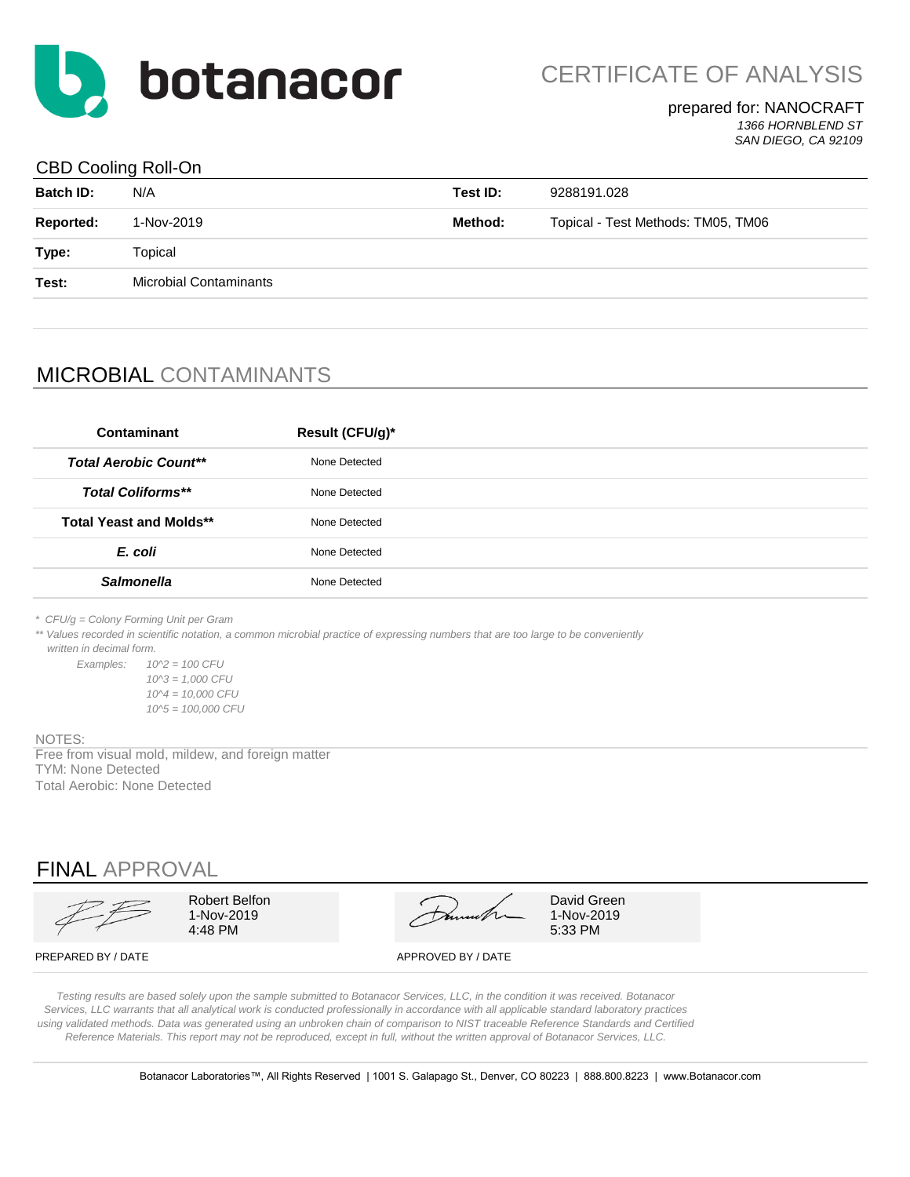

CERTIFICATE OF ANALYSIS

#### prepared for: NANOCRAFT *1366 HORNBLEND ST*

*SAN DIEGO, CA 92109*

#### CBD Cooling Roll-On

| <b>Batch ID:</b> | N/A                           | Test ID: | 9288191.028                        |
|------------------|-------------------------------|----------|------------------------------------|
| <b>Reported:</b> | 1-Nov-2019                    | Method:  | Topical - Test Methods: TM05, TM06 |
| Type:            | Topical                       |          |                                    |
| Test:            | <b>Microbial Contaminants</b> |          |                                    |
|                  |                               |          |                                    |

## MICROBIAL CONTAMINANTS

| Contaminant                    | Result (CFU/g)* |
|--------------------------------|-----------------|
| <b>Total Aerobic Count**</b>   | None Detected   |
| <b>Total Coliforms**</b>       | None Detected   |
| <b>Total Yeast and Molds**</b> | None Detected   |
| E. coli                        | None Detected   |
| <b>Salmonella</b>              | None Detected   |
|                                |                 |

*\* CFU/g = Colony Forming Unit per Gram*

\*\* Values recorded in scientific notation, a common microbial practice of expressing numbers that are too large to be conveniently  *written in decimal form.*

*Examples: 10^2 = 100 CFU 10^3 = 1,000 CFU 10^4 = 10,000 CFU 10^5 = 100,000 CFU*

NOTES:

Free from visual mold, mildew, and foreign matter TYM: None Detected Total Aerobic: None Detected

## FINAL APPROVAL

|                    | Robert Belfon<br>1-Nov-2019<br>4:48 PM | Trumwh             | David Green<br>1-Nov-2019<br>5:33 PM |  |
|--------------------|----------------------------------------|--------------------|--------------------------------------|--|
| PREPARED BY / DATE |                                        | APPROVED BY / DATE |                                      |  |

*Testing results are based solely upon the sample submitted to Botanacor Services, LLC, in the condition it was received. Botanacor Services, LLC warrants that all analytical work is conducted professionally in accordance with all applicable standard laboratory practices using validated methods. Data was generated using an unbroken chain of comparison to NIST traceable Reference Standards and Certified Reference Materials. This report may not be reproduced, except in full, without the written approval of Botanacor Services, LLC.*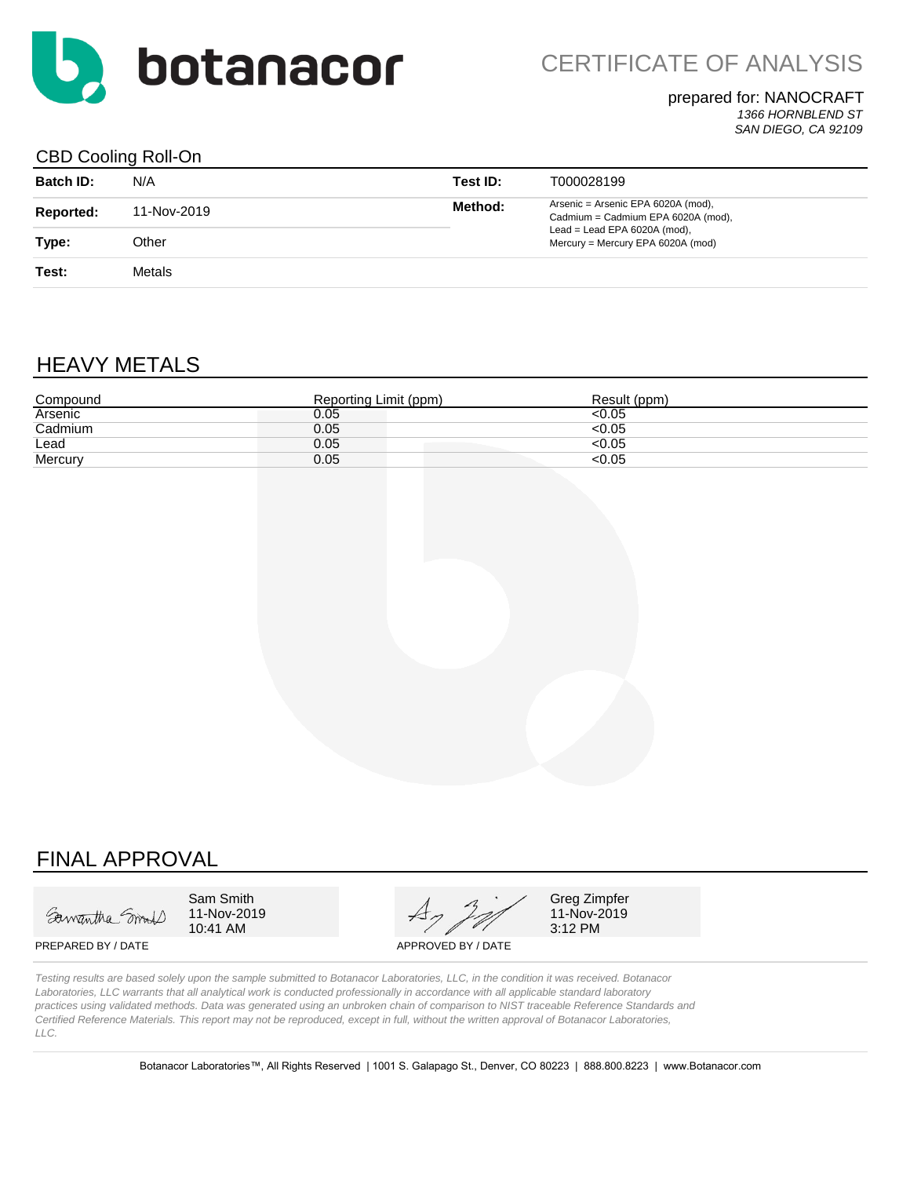

CERTIFICATE OF ANALYSIS

### prepared for: NANOCRAFT

*1366 HORNBLEND ST SAN DIEGO, CA 92109*

#### CBD Cooling Roll-On

| <b>Batch ID:</b> | N/A         | Test ID: | T000028199                                                               |
|------------------|-------------|----------|--------------------------------------------------------------------------|
| Reported:        | 11-Nov-2019 | Method:  | Arsenic = Arsenic EPA 6020A (mod),<br>Cadmium = Cadmium EPA 6020A (mod), |
| Type:            | Other       |          | Lead = Lead EPA $6020A$ (mod),<br>Mercury = Mercury EPA 6020A (mod)      |
| Test:            | Metals      |          |                                                                          |

### HEAVY METALS

| Compound | Reporting Limit (ppm) | Result (ppm) |
|----------|-----------------------|--------------|
| Arsenic  | 0.05                  | 50.05        |
| Cadmium  | 0.05                  | < 0.05       |
| Lead     | 0.05                  | <0.05        |
| Mercury  | 0.05                  | <0.05        |

### FINAL APPROVAL

Samantha Smith

10:41 AM

Sam Smith  $\overline{A}$   $\overline{A}$   $\overline{B}$  Greg Zimpfer 11-Nov-2019  $47/2019$  11-Nov-2019 10:41 AM

PREPARED BY / DATE APPROVED BY / DATE

*Testing results are based solely upon the sample submitted to Botanacor Laboratories, LLC, in the condition it was received. Botanacor Laboratories, LLC warrants that all analytical work is conducted professionally in accordance with all applicable standard laboratory practices using validated methods. Data was generated using an unbroken chain of comparison to NIST traceable Reference Standards and Certified Reference Materials. This report may not be reproduced, except in full, without the written approval of Botanacor Laboratories, LLC.*